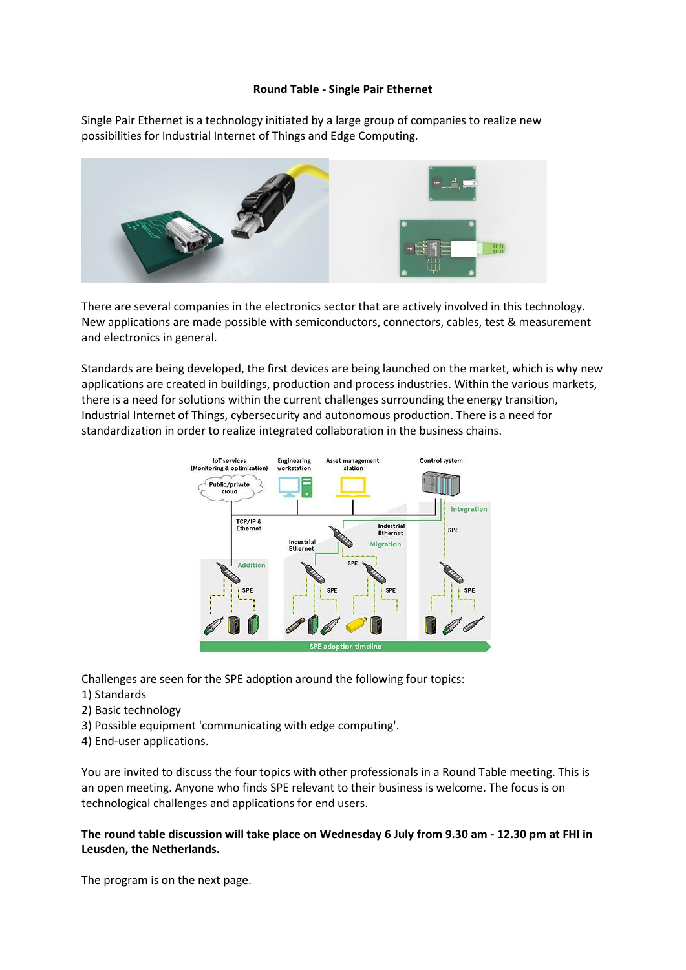## **Round Table - Single Pair Ethernet**

Single Pair Ethernet is a technology initiated by a large group of companies to realize new possibilities for Industrial Internet of Things and Edge Computing.



There are several companies in the electronics sector that are actively involved in this technology. New applications are made possible with semiconductors, connectors, cables, test & measurement and electronics in general.

Standards are being developed, the first devices are being launched on the market, which is why new applications are created in buildings, production and process industries. Within the various markets, there is a need for solutions within the current challenges surrounding the energy transition, Industrial Internet of Things, cybersecurity and autonomous production. There is a need for standardization in order to realize integrated collaboration in the business chains.



Challenges are seen for the SPE adoption around the following four topics:

- 1) Standards
- 2) Basic technology
- 3) Possible equipment 'communicating with edge computing'.
- 4) End-user applications.

You are invited to discuss the four topics with other professionals in a Round Table meeting. This is an open meeting. Anyone who finds SPE relevant to their business is welcome. The focus is on technological challenges and applications for end users.

**The round table discussion will take place on Wednesday 6 July from 9.30 am - 12.30 pm at FHI in Leusden, the Netherlands.**

The program is on the next page.